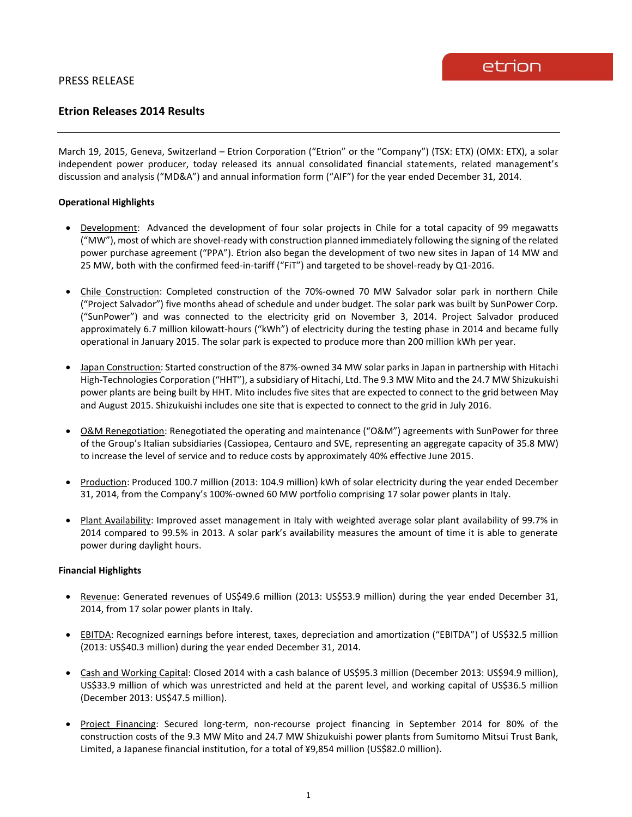# **Etrion Releases 2014 Results**

March 19, 2015, Geneva, Switzerland – Etrion Corporation ("Etrion" or the "Company") (TSX: ETX) (OMX: ETX), a solar independent power producer, today released its annual consolidated financial statements, related management's discussion and analysis ("MD&A") and annual information form ("AIF") for the year ended December 31, 2014.

### **Operational Highlights**

- Development: Advanced the development of four solar projects in Chile for a total capacity of 99 megawatts ("MW"), most of which are shovel-ready with construction planned immediately following the signing of the related power purchase agreement ("PPA"). Etrion also began the development of two new sites in Japan of 14 MW and 25 MW, both with the confirmed feed-in-tariff ("FiT") and targeted to be shovel-ready by Q1-2016.
- Chile Construction: Completed construction of the 70%-owned 70 MW Salvador solar park in northern Chile ("Project Salvador") five months ahead of schedule and under budget. The solar park was built by SunPower Corp. ("SunPower") and was connected to the electricity grid on November 3, 2014. Project Salvador produced approximately 6.7 million kilowatt-hours ("kWh") of electricity during the testing phase in 2014 and became fully operational in January 2015. The solar park is expected to produce more than 200 million kWh per year.
- Japan Construction: Started construction of the 87%-owned 34 MW solar parks in Japan in partnership with Hitachi High-Technologies Corporation ("HHT"), a subsidiary of Hitachi, Ltd. The 9.3 MW Mito and the 24.7 MW Shizukuishi power plants are being built by HHT. Mito includes five sites that are expected to connect to the grid between May and August 2015. Shizukuishi includes one site that is expected to connect to the grid in July 2016.
- O&M Renegotiation: Renegotiated the operating and maintenance ("O&M") agreements with SunPower for three of the Group's Italian subsidiaries (Cassiopea, Centauro and SVE, representing an aggregate capacity of 35.8 MW) to increase the level of service and to reduce costs by approximately 40% effective June 2015.
- Production: Produced 100.7 million (2013: 104.9 million) kWh of solar electricity during the year ended December 31, 2014, from the Company's 100%-owned 60 MW portfolio comprising 17 solar power plants in Italy.
- Plant Availability: Improved asset management in Italy with weighted average solar plant availability of 99.7% in 2014 compared to 99.5% in 2013. A solar park's availability measures the amount of time it is able to generate power during daylight hours.

#### **Financial Highlights**

- Revenue: Generated revenues of US\$49.6 million (2013: US\$53.9 million) during the year ended December 31, 2014, from 17 solar power plants in Italy.
- EBITDA: Recognized earnings before interest, taxes, depreciation and amortization ("EBITDA") of US\$32.5 million (2013: US\$40.3 million) during the year ended December 31, 2014.
- Cash and Working Capital: Closed 2014 with a cash balance of US\$95.3 million (December 2013: US\$94.9 million), US\$33.9 million of which was unrestricted and held at the parent level, and working capital of US\$36.5 million (December 2013: US\$47.5 million).
- Project Financing: Secured long-term, non-recourse project financing in September 2014 for 80% of the construction costs of the 9.3 MW Mito and 24.7 MW Shizukuishi power plants from Sumitomo Mitsui Trust Bank, Limited, a Japanese financial institution, for a total of ¥9,854 million (US\$82.0 million).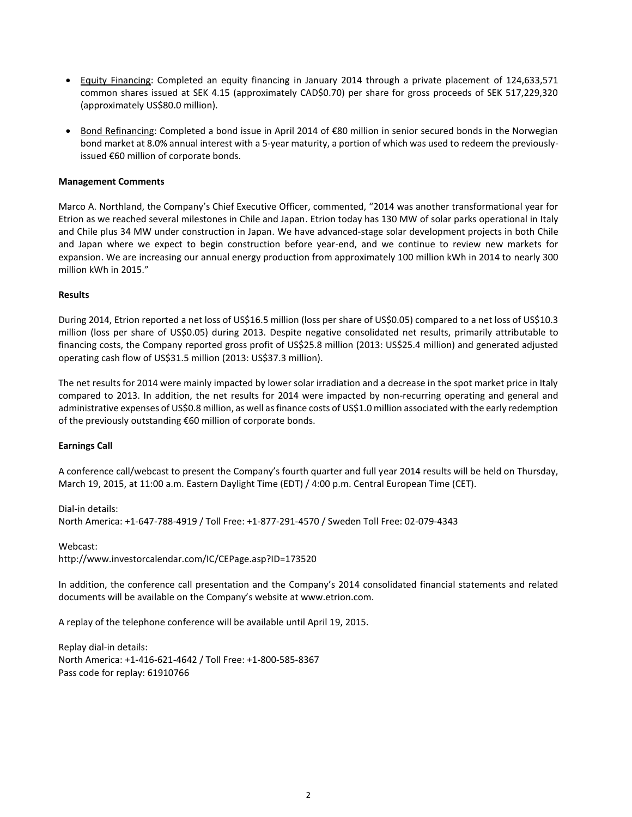- Equity Financing: Completed an equity financing in January 2014 through a private placement of 124,633,571 common shares issued at SEK 4.15 (approximately CAD\$0.70) per share for gross proceeds of SEK 517,229,320 (approximately US\$80.0 million).
- Bond Refinancing: Completed a bond issue in April 2014 of €80 million in senior secured bonds in the Norwegian bond market at 8.0% annual interest with a 5-year maturity, a portion of which was used to redeem the previouslyissued €60 million of corporate bonds.

# **Management Comments**

Marco A. Northland, the Company's Chief Executive Officer, commented, "2014 was another transformational year for Etrion as we reached several milestones in Chile and Japan. Etrion today has 130 MW of solar parks operational in Italy and Chile plus 34 MW under construction in Japan. We have advanced-stage solar development projects in both Chile and Japan where we expect to begin construction before year-end, and we continue to review new markets for expansion. We are increasing our annual energy production from approximately 100 million kWh in 2014 to nearly 300 million kWh in 2015."

#### **Results**

During 2014, Etrion reported a net loss of US\$16.5 million (loss per share of US\$0.05) compared to a net loss of US\$10.3 million (loss per share of US\$0.05) during 2013. Despite negative consolidated net results, primarily attributable to financing costs, the Company reported gross profit of US\$25.8 million (2013: US\$25.4 million) and generated adjusted operating cash flow of US\$31.5 million (2013: US\$37.3 million).

The net results for 2014 were mainly impacted by lower solar irradiation and a decrease in the spot market price in Italy compared to 2013. In addition, the net results for 2014 were impacted by non-recurring operating and general and administrative expenses of US\$0.8 million, as well as finance costs of US\$1.0 million associated with the early redemption of the previously outstanding €60 million of corporate bonds.

# **Earnings Call**

A conference call/webcast to present the Company's fourth quarter and full year 2014 results will be held on Thursday, March 19, 2015, at 11:00 a.m. Eastern Daylight Time (EDT) / 4:00 p.m. Central European Time (CET).

Dial-in details: North America: +1-647-788-4919 / Toll Free: +1-877-291-4570 / Sweden Toll Free: 02-079-4343

Webcast: http://www.investorcalendar.com/IC/CEPage.asp?ID=173520

In addition, the conference call presentation and the Company's 2014 consolidated financial statements and related documents will be available on the Company's website at www.etrion.com.

A replay of the telephone conference will be available until April 19, 2015.

Replay dial-in details: North America: +1-416-621-4642 / Toll Free: +1-800-585-8367 Pass code for replay: 61910766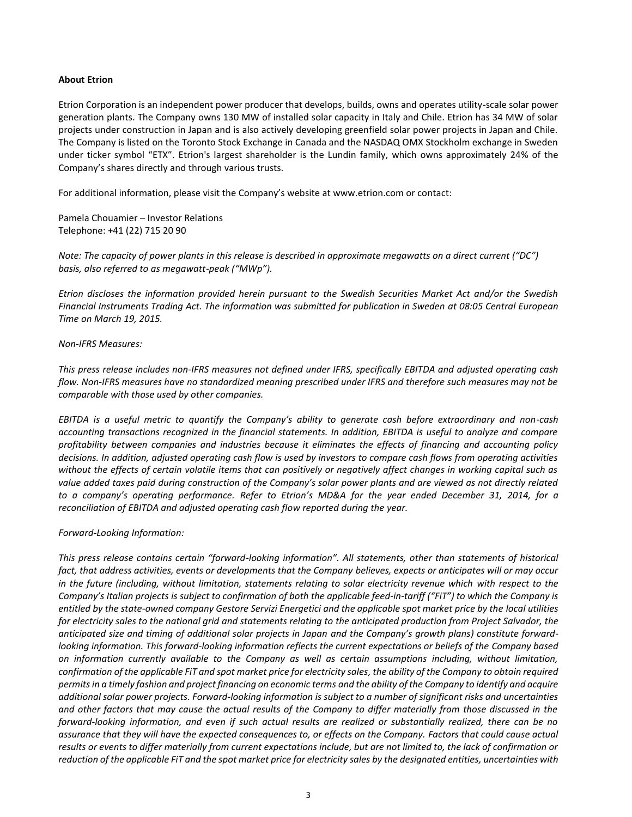# **About Etrion**

Etrion Corporation is an independent power producer that develops, builds, owns and operates utility-scale solar power generation plants. The Company owns 130 MW of installed solar capacity in Italy and Chile. Etrion has 34 MW of solar projects under construction in Japan and is also actively developing greenfield solar power projects in Japan and Chile. The Company is listed on the Toronto Stock Exchange in Canada and the NASDAQ OMX Stockholm exchange in Sweden under ticker symbol "ETX". Etrion's largest shareholder is the Lundin family, which owns approximately 24% of the Company's shares directly and through various trusts.

For additional information, please visit the Company's website at www.etrion.com or contact:

Pamela Chouamier – Investor Relations Telephone: +41 (22) 715 20 90

*Note: The capacity of power plants in this release is described in approximate megawatts on a direct current ("DC") basis, also referred to as megawatt-peak ("MWp").*

*Etrion discloses the information provided herein pursuant to the Swedish Securities Market Act and/or the Swedish Financial Instruments Trading Act. The information was submitted for publication in Sweden at 08:05 Central European Time on March 19, 2015.*

#### *Non-IFRS Measures:*

*This press release includes non-IFRS measures not defined under IFRS, specifically EBITDA and adjusted operating cash flow. Non-IFRS measures have no standardized meaning prescribed under IFRS and therefore such measures may not be comparable with those used by other companies.* 

*EBITDA is a useful metric to quantify the Company's ability to generate cash before extraordinary and non-cash accounting transactions recognized in the financial statements. In addition, EBITDA is useful to analyze and compare profitability between companies and industries because it eliminates the effects of financing and accounting policy decisions. In addition, adjusted operating cash flow is used by investors to compare cash flows from operating activities without the effects of certain volatile items that can positively or negatively affect changes in working capital such as value added taxes paid during construction of the Company's solar power plants and are viewed as not directly related to a company's operating performance. Refer to Etrion's MD&A for the year ended December 31, 2014, for a reconciliation of EBITDA and adjusted operating cash flow reported during the year.* 

#### *Forward-Looking Information:*

*This press release contains certain "forward-looking information". All statements, other than statements of historical fact, that address activities, events or developments that the Company believes, expects or anticipates will or may occur in the future (including, without limitation, statements relating to solar electricity revenue which with respect to the Company's Italian projects is subject to confirmation of both the applicable feed-in-tariff ("FiT") to which the Company is entitled by the state-owned company Gestore Servizi Energetici and the applicable spot market price by the local utilities for electricity sales to the national grid and statements relating to the anticipated production from Project Salvador, the anticipated size and timing of additional solar projects in Japan and the Company's growth plans) constitute forwardlooking information. This forward-looking information reflects the current expectations or beliefs of the Company based on information currently available to the Company as well as certain assumptions including, without limitation, confirmation of the applicable FiT and spot market price for electricity sales, the ability of the Company to obtain required permits in a timely fashion and project financing on economic terms and the ability of the Company to identify and acquire additional solar power projects. Forward-looking information is subject to a number of significant risks and uncertainties and other factors that may cause the actual results of the Company to differ materially from those discussed in the forward-looking information, and even if such actual results are realized or substantially realized, there can be no assurance that they will have the expected consequences to, or effects on the Company. Factors that could cause actual results or events to differ materially from current expectations include, but are not limited to, the lack of confirmation or reduction of the applicable FiT and the spot market price for electricity sales by the designated entities, uncertainties with*